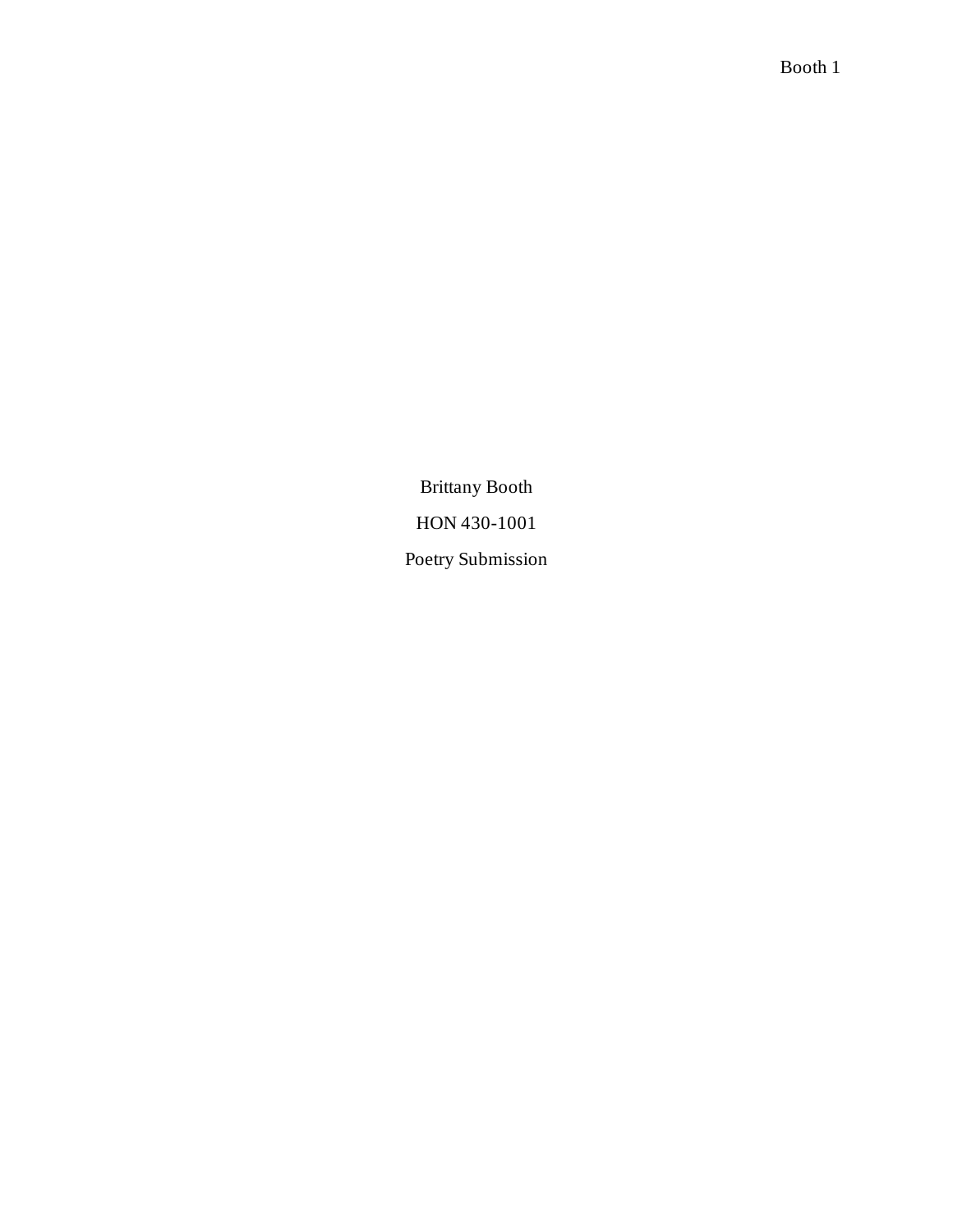Brittany Booth HON 430-1001 Poetry Submission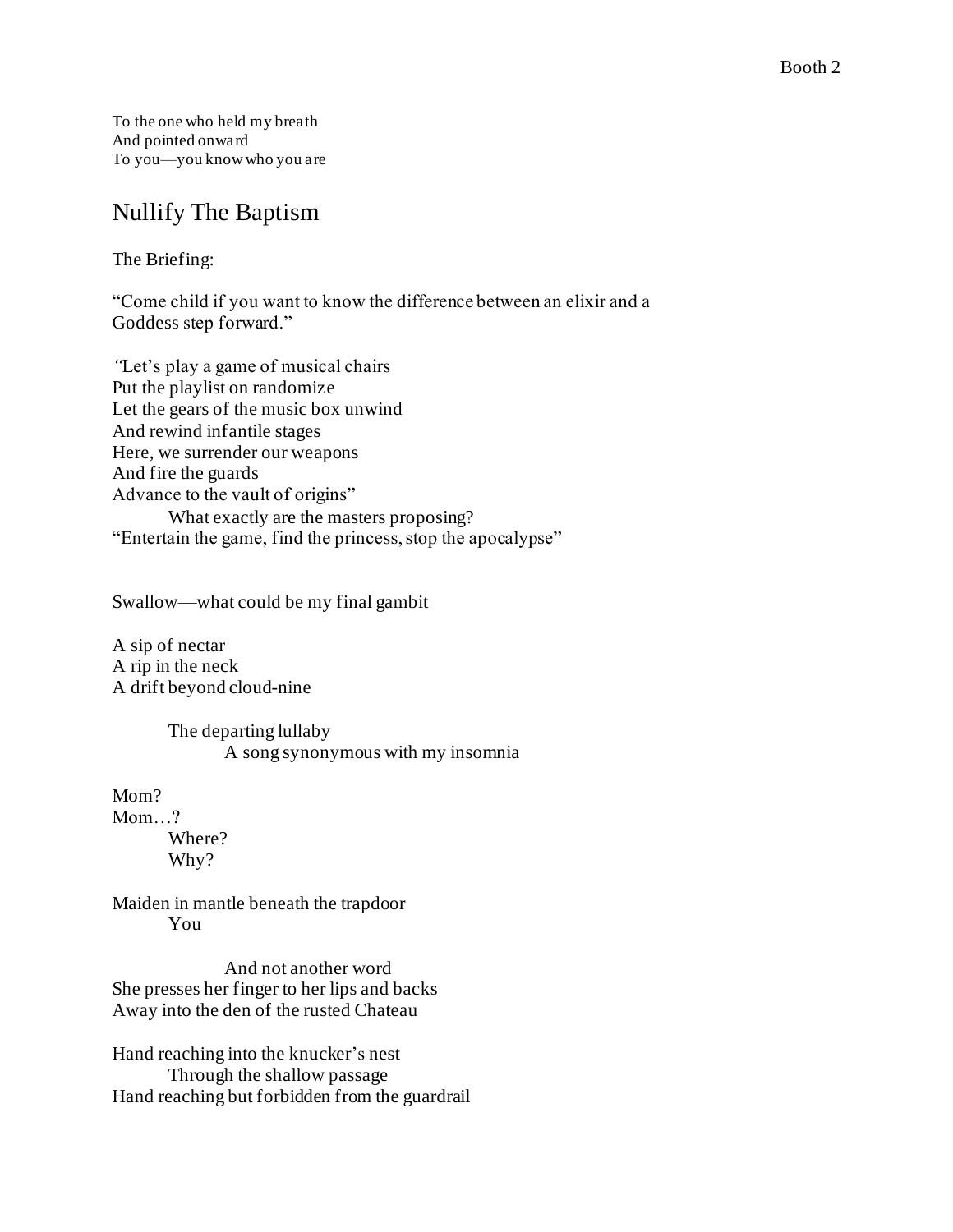To the one who held my breath And pointed onward To you—you know who you are

# Nullify The Baptism

The Briefing:

"Come child if you want to know the difference between an elixir and a Goddess step forward."

*"*Let's play a game of musical chairs Put the playlist on randomize Let the gears of the music box unwind And rewind infantile stages Here, we surrender our weapons And fire the guards Advance to the vault of origins" What exactly are the masters proposing? "Entertain the game, find the princess, stop the apocalypse"

Swallow—what could be my final gambit

A sip of nectar A rip in the neck A drift beyond cloud-nine

> The departing lullaby A song synonymous with my insomnia

Mom? Mom...? Where? Why?

Maiden in mantle beneath the trapdoor You

And not another word She presses her finger to her lips and backs Away into the den of the rusted Chateau

Hand reaching into the knucker's nest Through the shallow passage Hand reaching but forbidden from the guardrail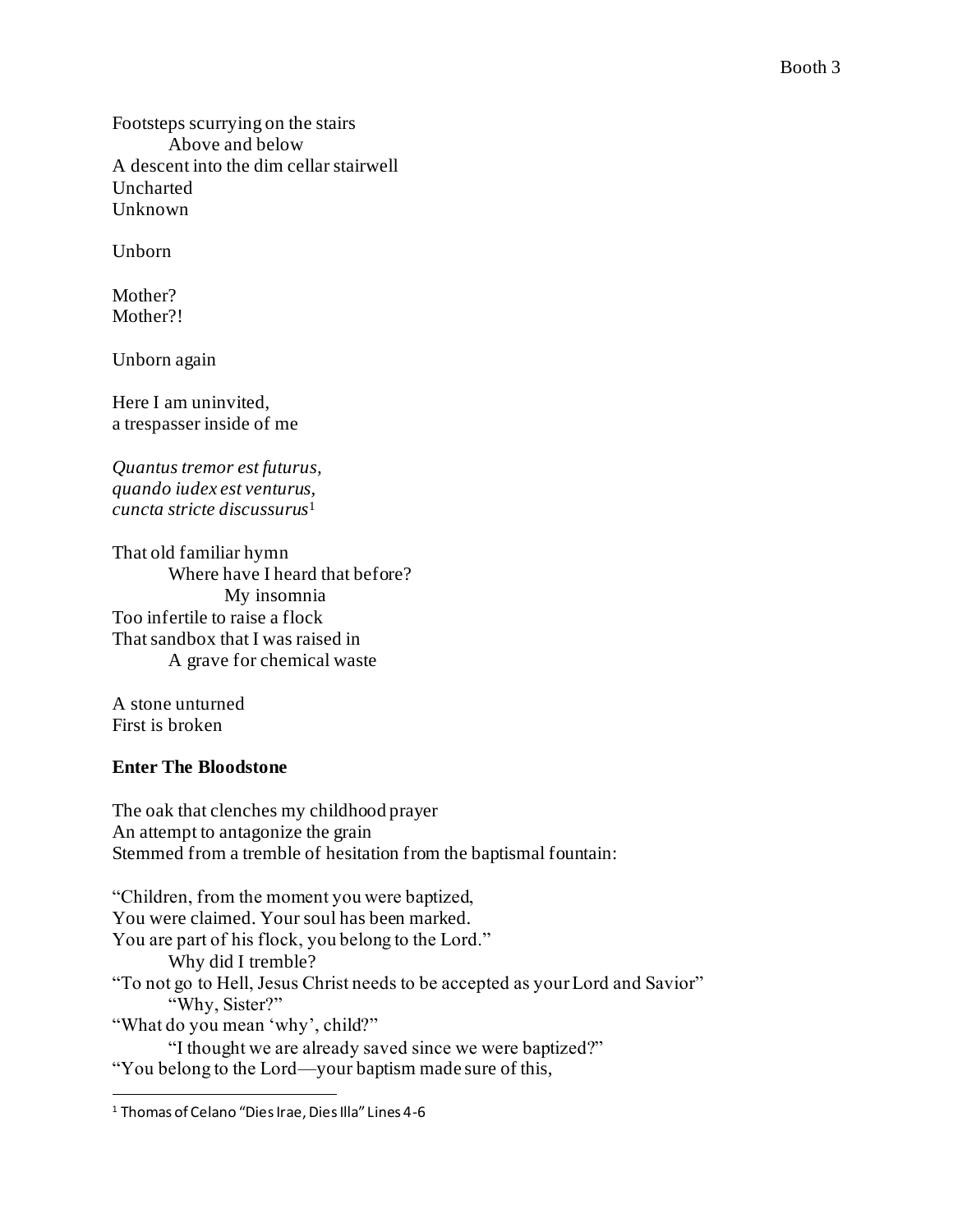Footsteps scurrying on the stairs Above and below A descent into the dim cellar stairwell Uncharted Unknown

Unborn

Mother? Mother?!

Unborn again

Here I am uninvited, a trespasser inside of me

*Quantus tremor est futurus, quando iudex est venturus, cuncta stricte discussurus*<sup>1</sup>

That old familiar hymn Where have I heard that before? My insomnia Too infertile to raise a flock That sandbox that I was raised in A grave for chemical waste

A stone unturned First is broken

#### **Enter The Bloodstone**

The oak that clenches my childhood prayer An attempt to antagonize the grain Stemmed from a tremble of hesitation from the baptismal fountain:

"Children, from the moment you were baptized, You were claimed. Your soul has been marked. You are part of his flock, you belong to the Lord." Why did I tremble? "To not go to Hell, Jesus Christ needs to be accepted as your Lord and Savior" "Why, Sister?" "What do you mean 'why', child?" "I thought we are already saved since we were baptized?"

"You belong to the Lord—your baptism made sure of this,

<sup>1</sup> Thomas of Celano "Dies Irae, Dies Illa" Lines 4-6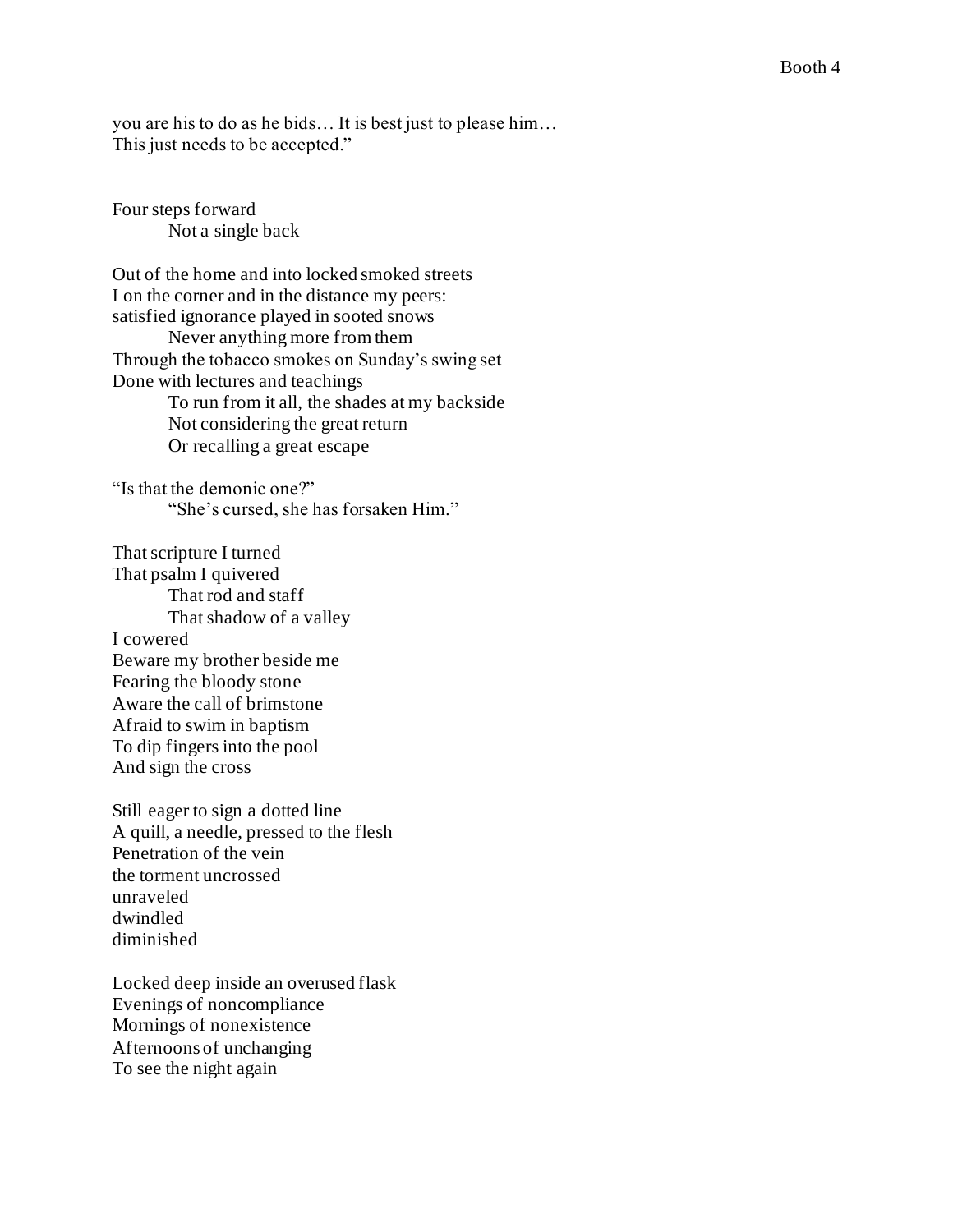you are his to do as he bids… It is best just to please him… This just needs to be accepted."

Four steps forward Not a single back

Out of the home and into locked smoked streets I on the corner and in the distance my peers: satisfied ignorance played in sooted snows Never anything more from them Through the tobacco smokes on Sunday's swing set Done with lectures and teachings To run from it all, the shades at my backside

Not considering the great return Or recalling a great escape

"Is that the demonic one?" "She's cursed, she has forsaken Him."

That scripture I turned That psalm I quivered That rod and staff That shadow of a valley I cowered Beware my brother beside me Fearing the bloody stone Aware the call of brimstone Afraid to swim in baptism To dip fingers into the pool And sign the cross

Still eager to sign a dotted line A quill, a needle, pressed to the flesh Penetration of the vein the torment uncrossed unraveled dwindled diminished

Locked deep inside an overused flask Evenings of noncompliance Mornings of nonexistence Afternoons of unchanging To see the night again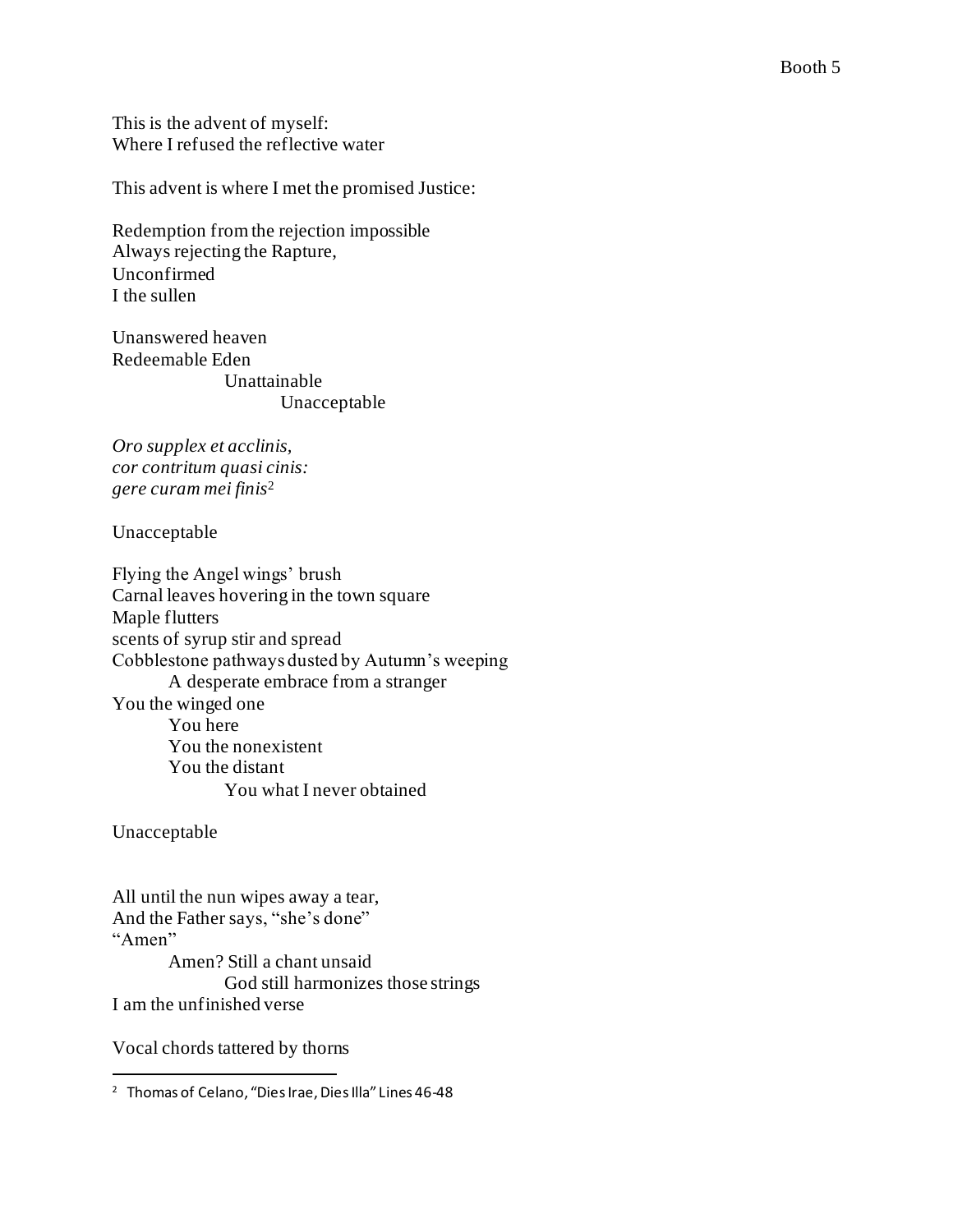This is the advent of myself: Where I refused the reflective water

This advent is where I met the promised Justice:

Redemption from the rejection impossible Always rejecting the Rapture, Unconfirmed I the sullen

Unanswered heaven Redeemable Eden Unattainable Unacceptable

*Oro supplex et acclinis, cor contritum quasi cinis: gere curam mei finis*<sup>2</sup>

Unacceptable

Flying the Angel wings' brush Carnal leaves hovering in the town square Maple flutters scents of syrup stir and spread Cobblestone pathways dusted by Autumn's weeping A desperate embrace from a stranger You the winged one You here You the nonexistent You the distant You what I never obtained

Unacceptable

All until the nun wipes away a tear, And the Father says, "she's done" "Amen" Amen? Still a chant unsaid God still harmonizes those strings I am the unfinished verse

Vocal chords tattered by thorns

<sup>2</sup> Thomas of Celano, "Dies Irae, Dies Illa" Lines 46-48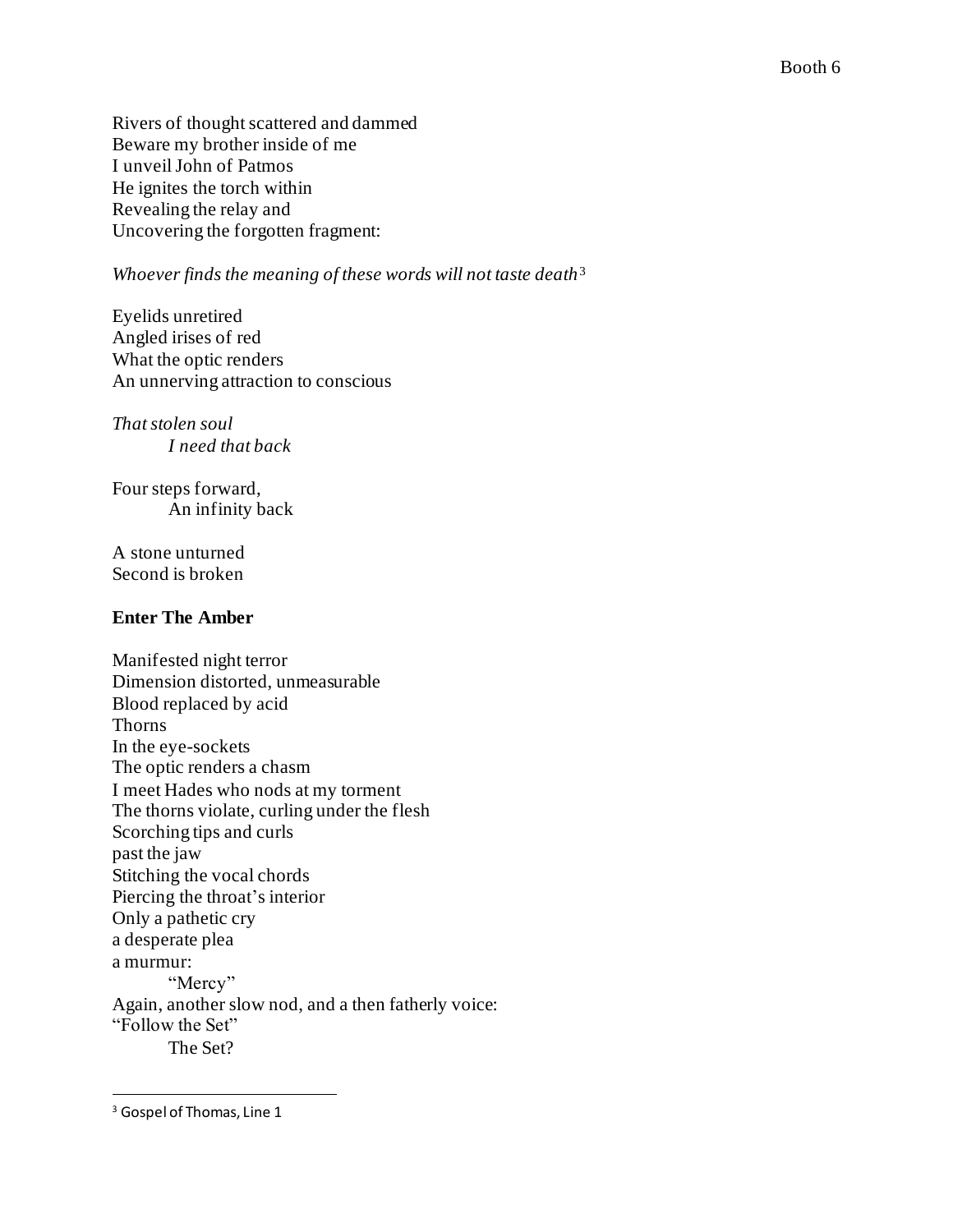Rivers of thought scattered and dammed Beware my brother inside of me I unveil John of Patmos He ignites the torch within Revealing the relay and Uncovering the forgotten fragment:

## *Whoever finds the meaning of these words will not taste death*<sup>3</sup>

Eyelids unretired Angled irises of red What the optic renders An unnerving attraction to conscious

*That stolen soul I need that back*

Four steps forward, An infinity back

A stone unturned Second is broken

#### **Enter The Amber**

Manifested night terror Dimension distorted, unmeasurable Blood replaced by acid Thorns In the eye-sockets The optic renders a chasm I meet Hades who nods at my torment The thorns violate, curling under the flesh Scorching tips and curls past the jaw Stitching the vocal chords Piercing the throat's interior Only a pathetic cry a desperate plea a murmur: "Mercy" Again, another slow nod, and a then fatherly voice: "Follow the Set" The Set?

<sup>&</sup>lt;sup>3</sup> Gospel of Thomas, Line 1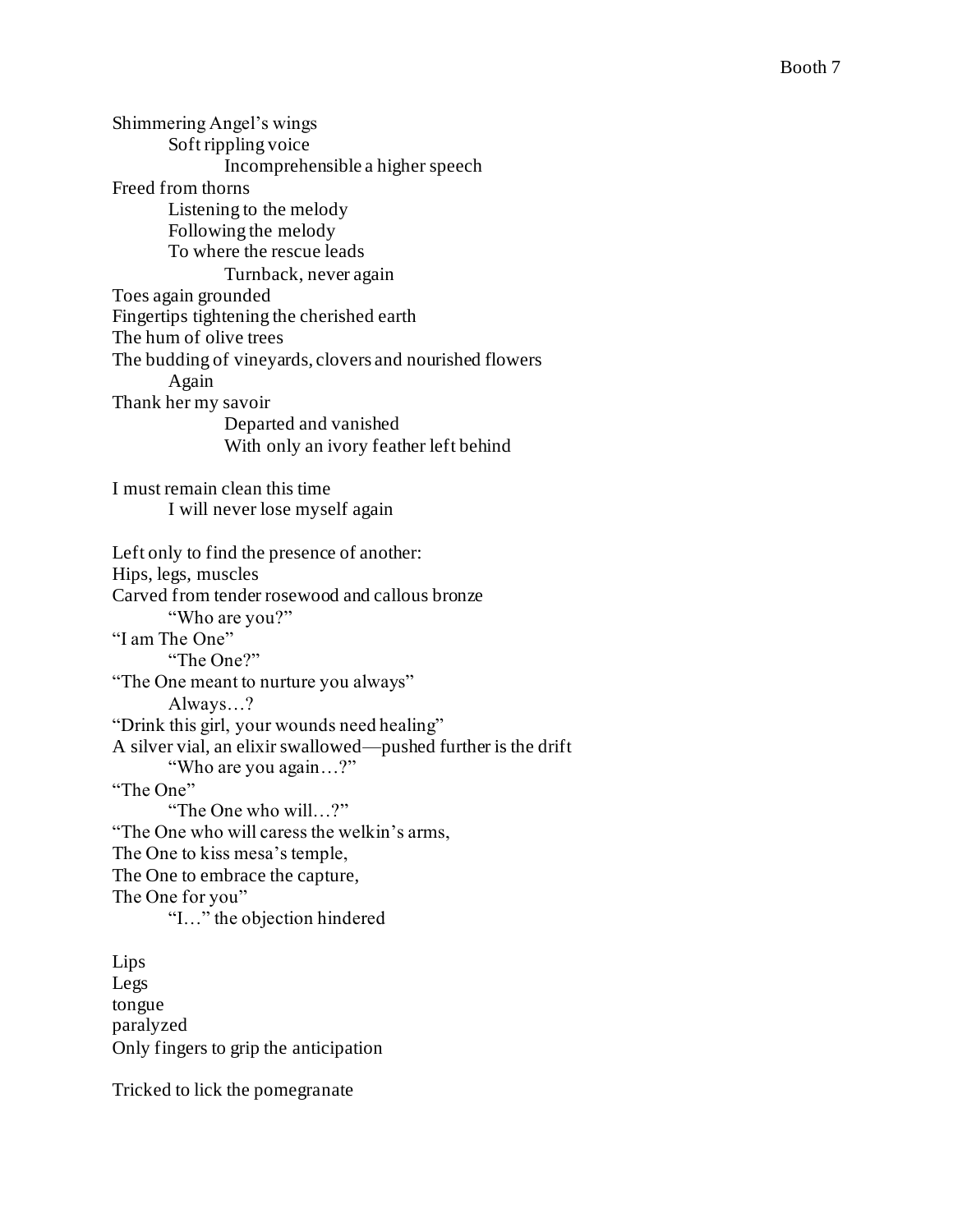Shimmering Angel's wings Soft rippling voice Incomprehensible a higher speech Freed from thorns Listening to the melody Following the melody To where the rescue leads Turnback, never again Toes again grounded Fingertips tightening the cherished earth The hum of olive trees The budding of vineyards, clovers and nourished flowers Again Thank her my savoir Departed and vanished With only an ivory feather left behind I must remain clean this time I will never lose myself again Left only to find the presence of another: Hips, legs, muscles Carved from tender rosewood and callous bronze "Who are you?" "I am The One" "The One?" "The One meant to nurture you always" Always…? "Drink this girl, your wounds need healing" A silver vial, an elixir swallowed—pushed further is the drift "Who are you again…?" "The One" "The One who will…?" "The One who will caress the welkin's arms, The One to kiss mesa's temple, The One to embrace the capture, The One for you" "I…" the objection hindered Lips Legs tongue paralyzed

Only fingers to grip the anticipation

Tricked to lick the pomegranate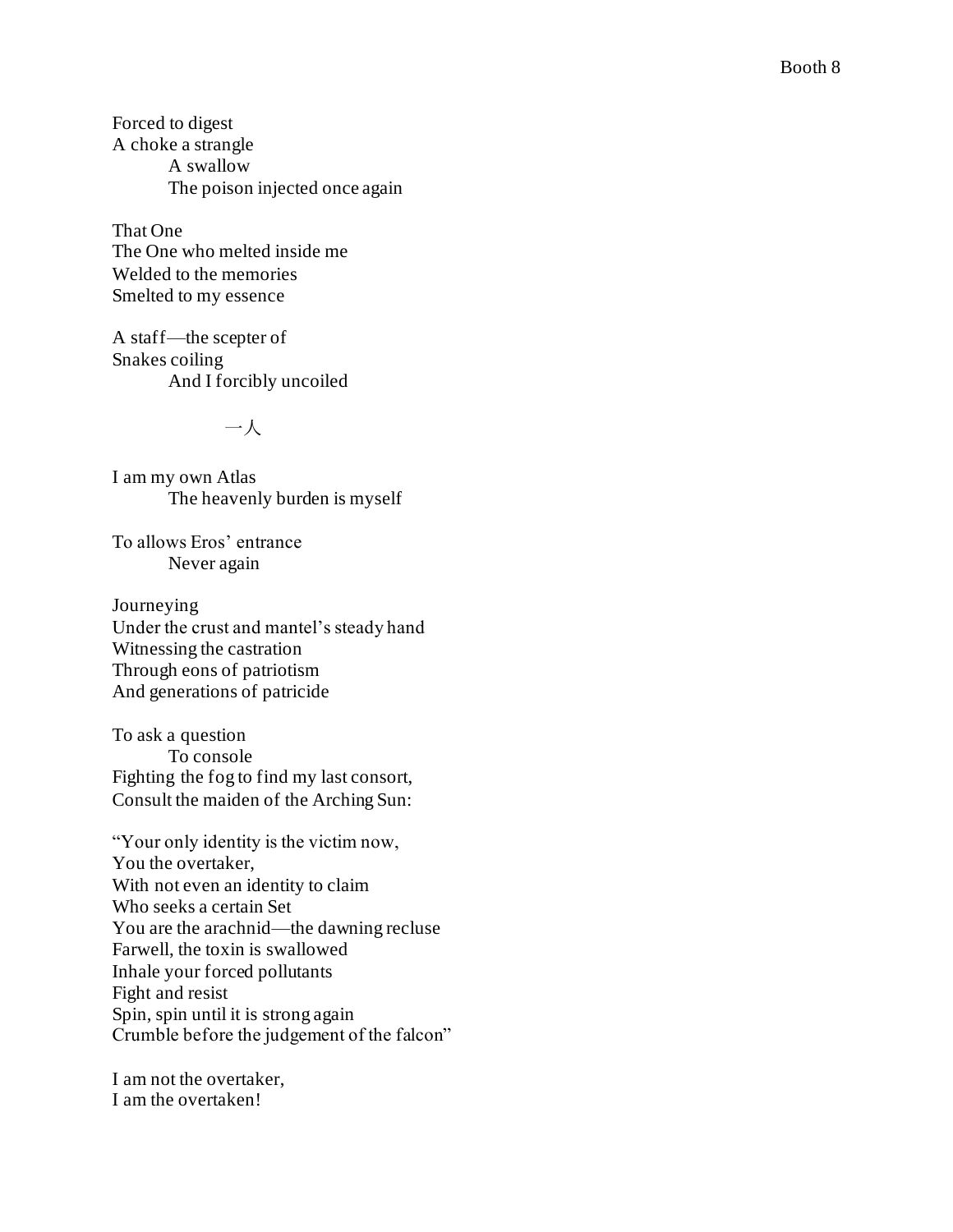Forced to digest A choke a strangle A swallow The poison injected once again

That One The One who melted inside me Welded to the memories Smelted to my essence

A staff —the scepter of Snakes coiling And I forcibly uncoiled

一人

I am my own Atlas The heavenly burden is myself

To allows Eros' entrance Never again

Journeying Under the crust and mantel's steady hand Witnessing the castration Through eons of patriotism And generations of patricide

To ask a question To console Fighting the fog to find my last consort, Consult the maiden of the Arching Sun:

"Your only identity is the victim now, You the overtaker, With not even an identity to claim Who seeks a certain Set You are the arachnid —the dawning recluse Farwell, the toxin is swallowed Inhale your forced pollutants Fight and resist Spin, spin until it is strong again Crumble before the judgement of the falcon"

I am not the overtaker, I am the overtaken!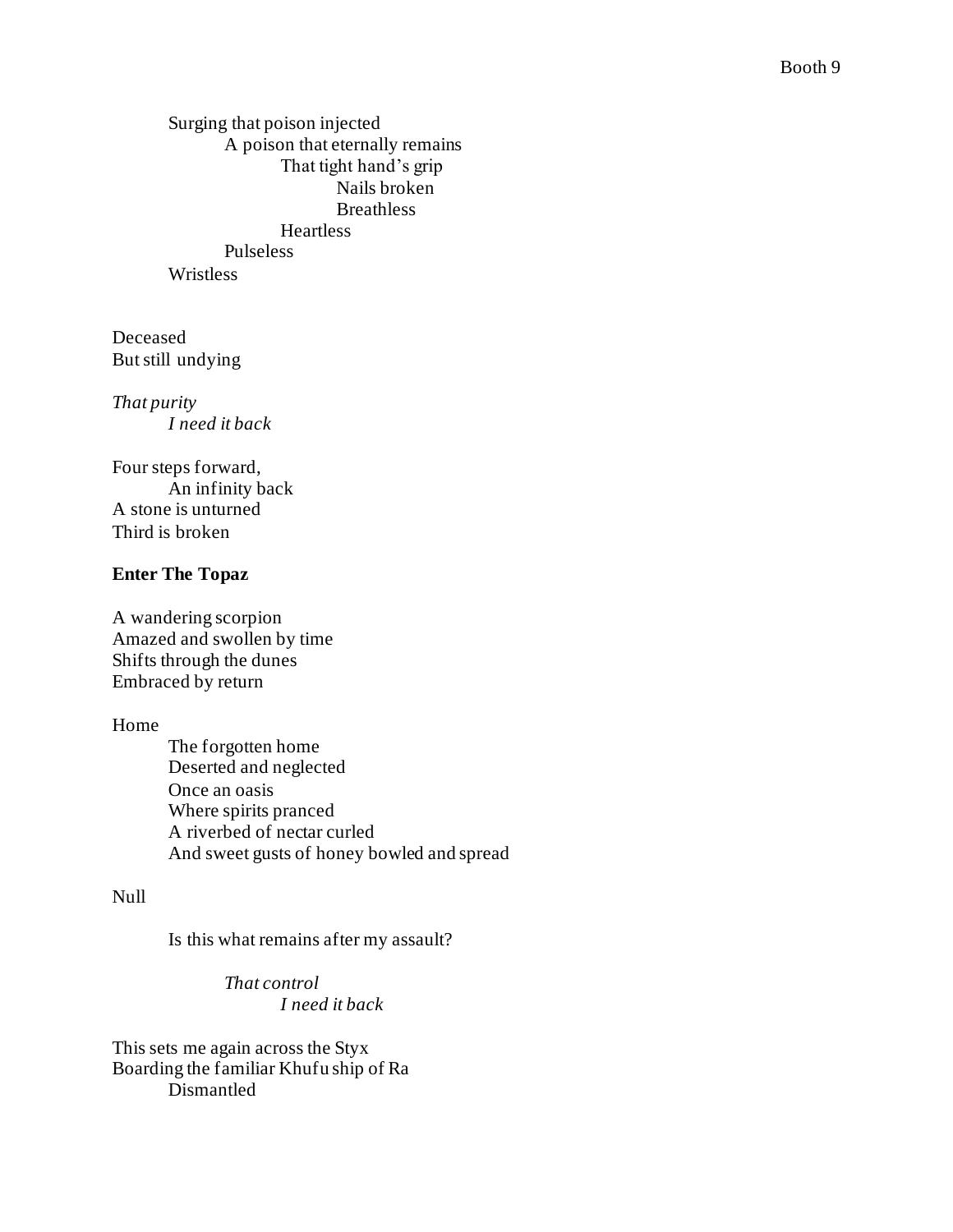Surging that poison injected A poison that eternally remains That tight hand's grip Nails broken **Breathless** Heartless Pulseless Wristless

Deceased But still undying

*That purity I need it back*

Four steps forward, An infinity back A stone is unturned Third is broken

### **Enter The Topaz**

A wandering scorpion Amazed and swollen by time Shifts through the dunes Embraced by return

Home

The forgotten home Deserted and neglected Once an oasis Where spirits pranced A riverbed of nectar curled And sweet gusts of honey bowled and spread

## Null

Is this what remains after my assault?

*That control I need it back*

This sets me again across the Styx Boarding the familiar Khufu ship of Ra Dismantled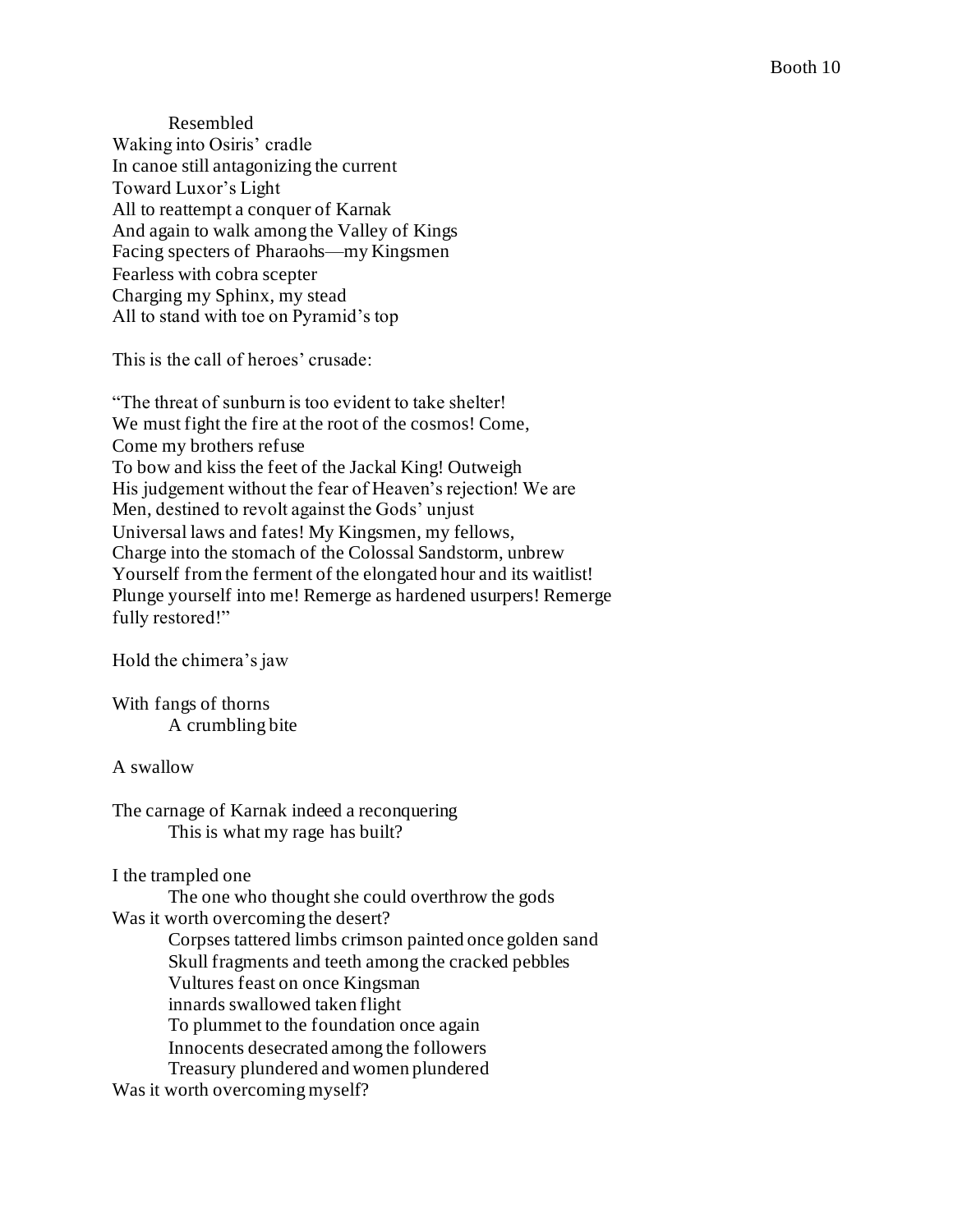Resembled Waking into Osiris' cradle In canoe still antagonizing the current Toward Luxor's Light All to reattempt a conquer of Karnak And again to walk among the Valley of Kings Facing specters of Pharaohs—my Kingsmen Fearless with cobra scepter Charging my Sphinx, my stead All to stand with toe on Pyramid's top

This is the call of heroes' crusade:

"The threat of sunburn is too evident to take shelter! We must fight the fire at the root of the cosmos! Come, Come my brothers refuse To bow and kiss the feet of the Jackal King! Outweigh His judgement without the fear of Heaven's rejection! We are Men, destined to revolt against the Gods' unjust Universal laws and fates! My Kingsmen, my fellows, Charge into the stomach of the Colossal Sandstorm, unbrew Yourself from the ferment of the elongated hour and its waitlist! Plunge yourself into me! Remerge as hardened usurpers! Remerge fully restored!"

Hold the chimera's jaw

With fangs of thorns A crumbling bite

#### A swallow

The carnage of Karnak indeed a reconquering This is what my rage has built?

### I the trampled one

The one who thought she could overthrow the gods Was it worth overcoming the desert? Corpses tattered limbs crimson painted once golden sand Skull fragments and teeth among the cracked pebbles Vultures feast on once Kingsman innards swallowed taken flight To plummet to the foundation once again Innocents desecrated among the followers Treasury plundered and women plundered Was it worth overcoming myself?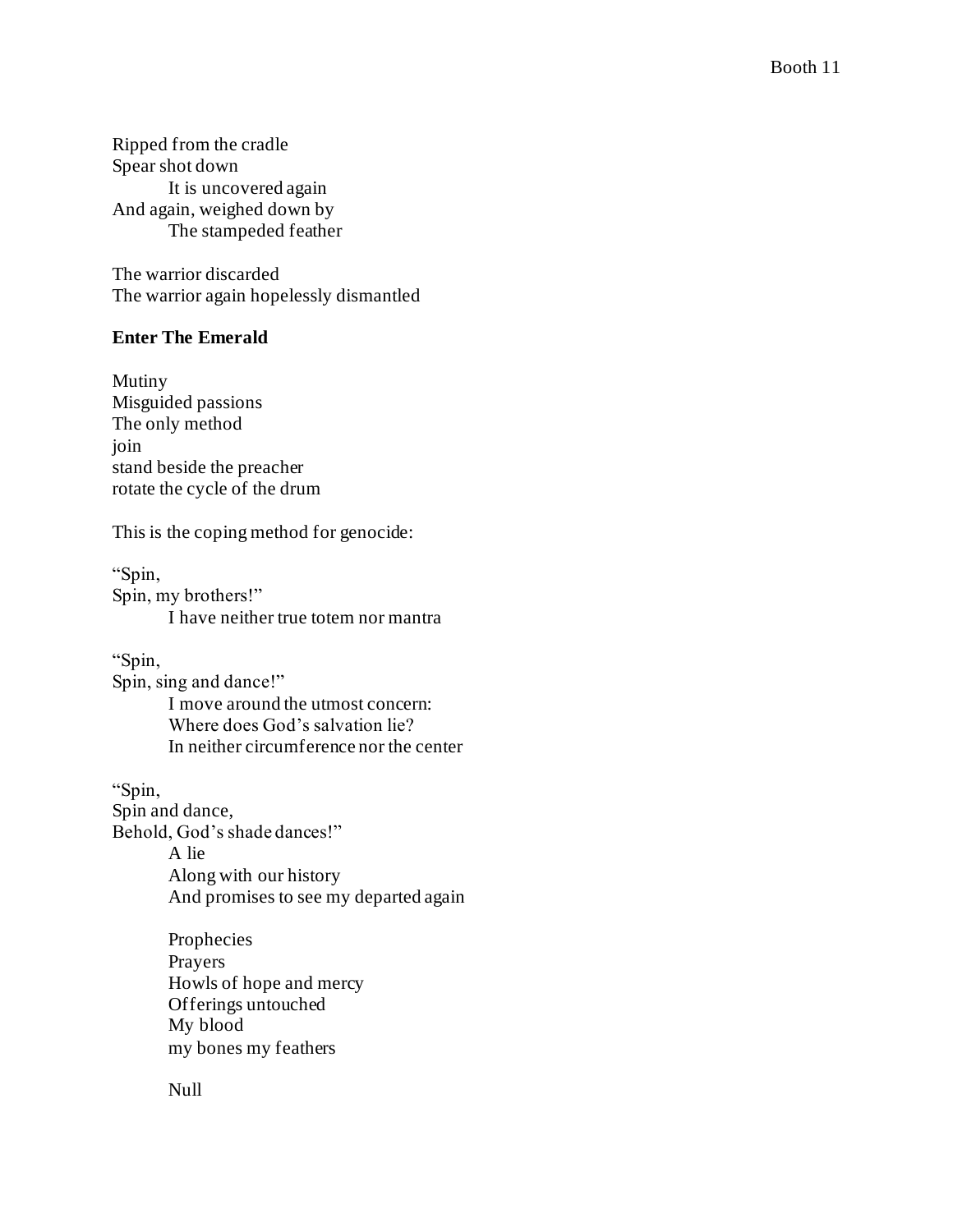Ripped from the cradle Spear shot down It is uncovered again And again, weighed down by The stampeded feather

The warrior discarded The warrior again hopelessly dismantled

## **Enter The Emerald**

Mutiny Misguided passions The only method join stand beside the preacher rotate the cycle of the drum

This is the coping method for genocide:

"Spin, Spin, my brothers!" I have neither true totem nor mantra

"Spin, Spin, sing and dance!" I move around the utmost concern: Where does God's salvation lie? In neither circumference nor the center

"Spin, Spin and dance, Behold, God's shade dances!" A lie Along with our history And promises to see my departed again

> Prophecies Prayers Howls of hope and mercy Offerings untouched My blood my bones my feathers

Null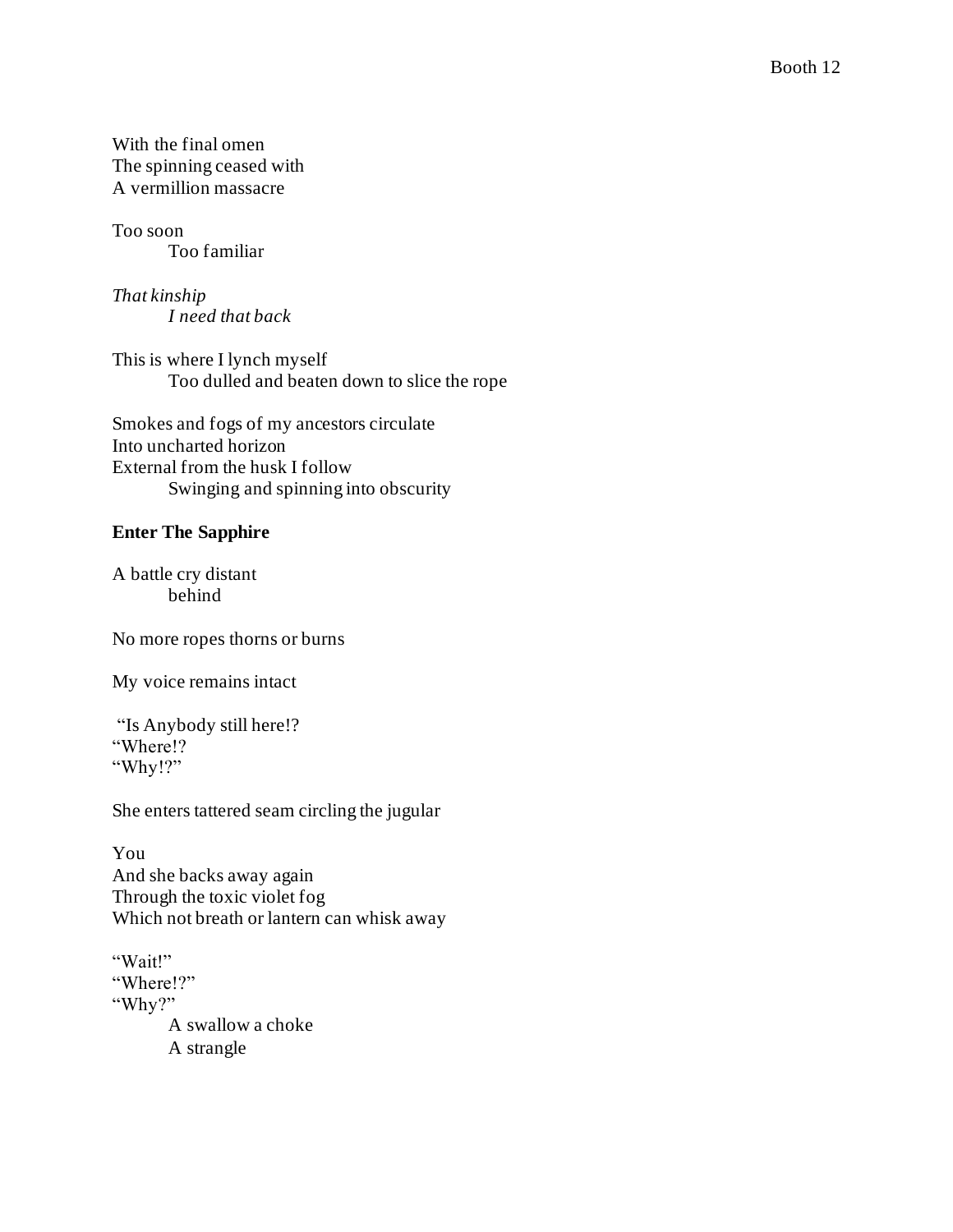With the final omen The spinning ceased with A vermillion massacre

Too soon Too familiar

*That kinship I need that back*

This is where I lynch myself Too dulled and beaten down to slice the rope

Smokes and fogs of my ancestors circulate Into uncharted horizon External from the husk I follow Swinging and spinning into obscurity

## **Enter The Sapphire**

A battle cry distant behind

No more ropes thorns or burns

My voice remains intact

"Is Anybody still here!? "Where!? "Why!?"

She enters tattered seam circling the jugular

You And she backs away again Through the toxic violet fog Which not breath or lantern can whisk away

"Wait!" "Where!?" "Why?" A swallow a choke A strangle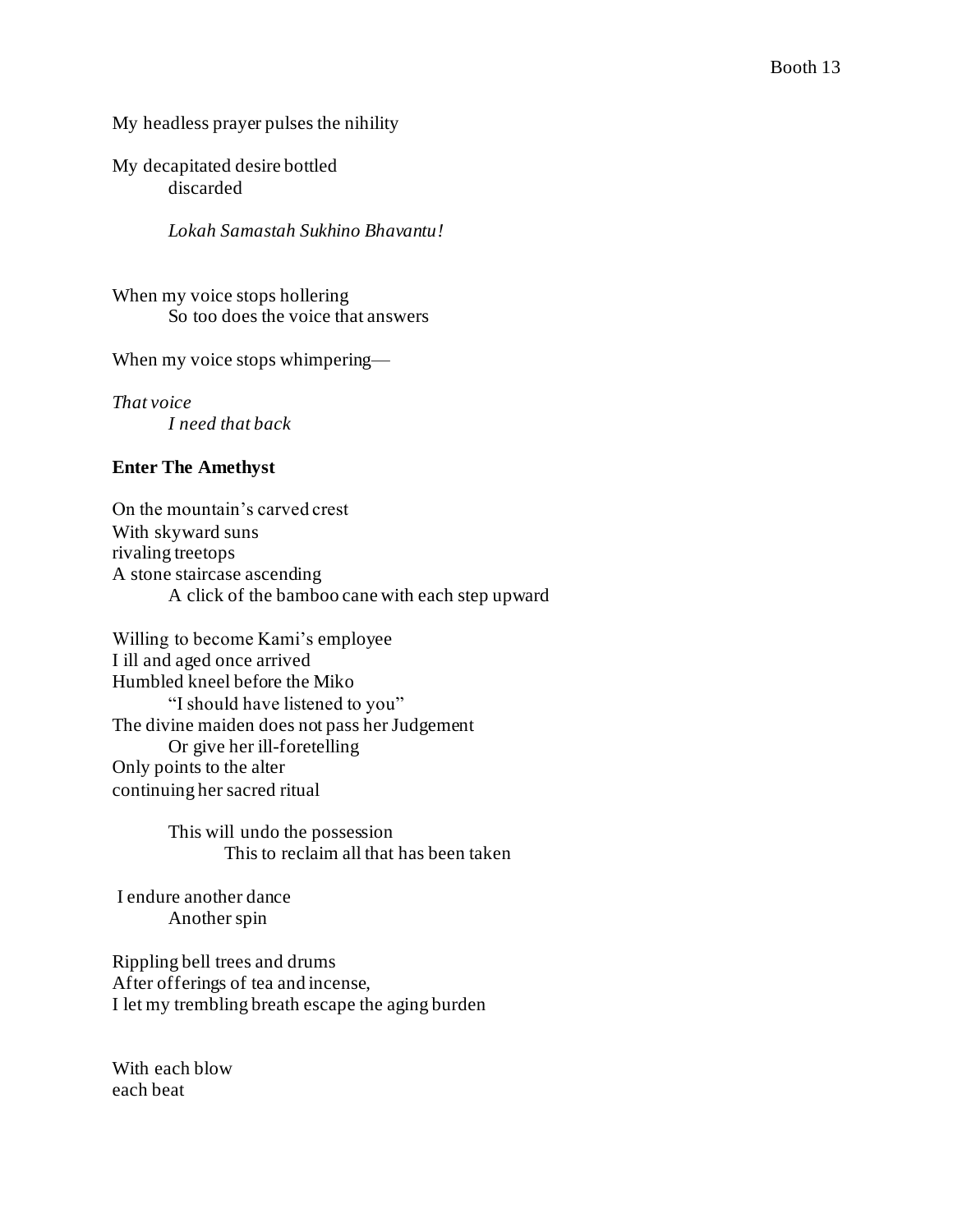My headless prayer pulses the nihility

My decapitated desire bottled discarded

*Lokah Samastah Sukhino Bhavantu!*

When my voice stops hollering So too does the voice that answers

When my voice stops whimpering—

*That voice I need that back*

#### **Enter The Amethyst**

On the mountain's carved crest With skyward suns rivaling treetops A stone staircase ascending A click of the bamboo cane with each step upward

Willing to become Kami's employee I ill and aged once arrived Humbled kneel before the Miko "I should have listened to you" The divine maiden does not pass her Judgement Or give her ill-foretelling Only points to the alter continuing her sacred ritual

> This will undo the possession This to reclaim all that has been taken

I endure another dance Another spin

Rippling bell trees and drums After offerings of tea and incense, I let my trembling breath escape the aging burden

With each blow each beat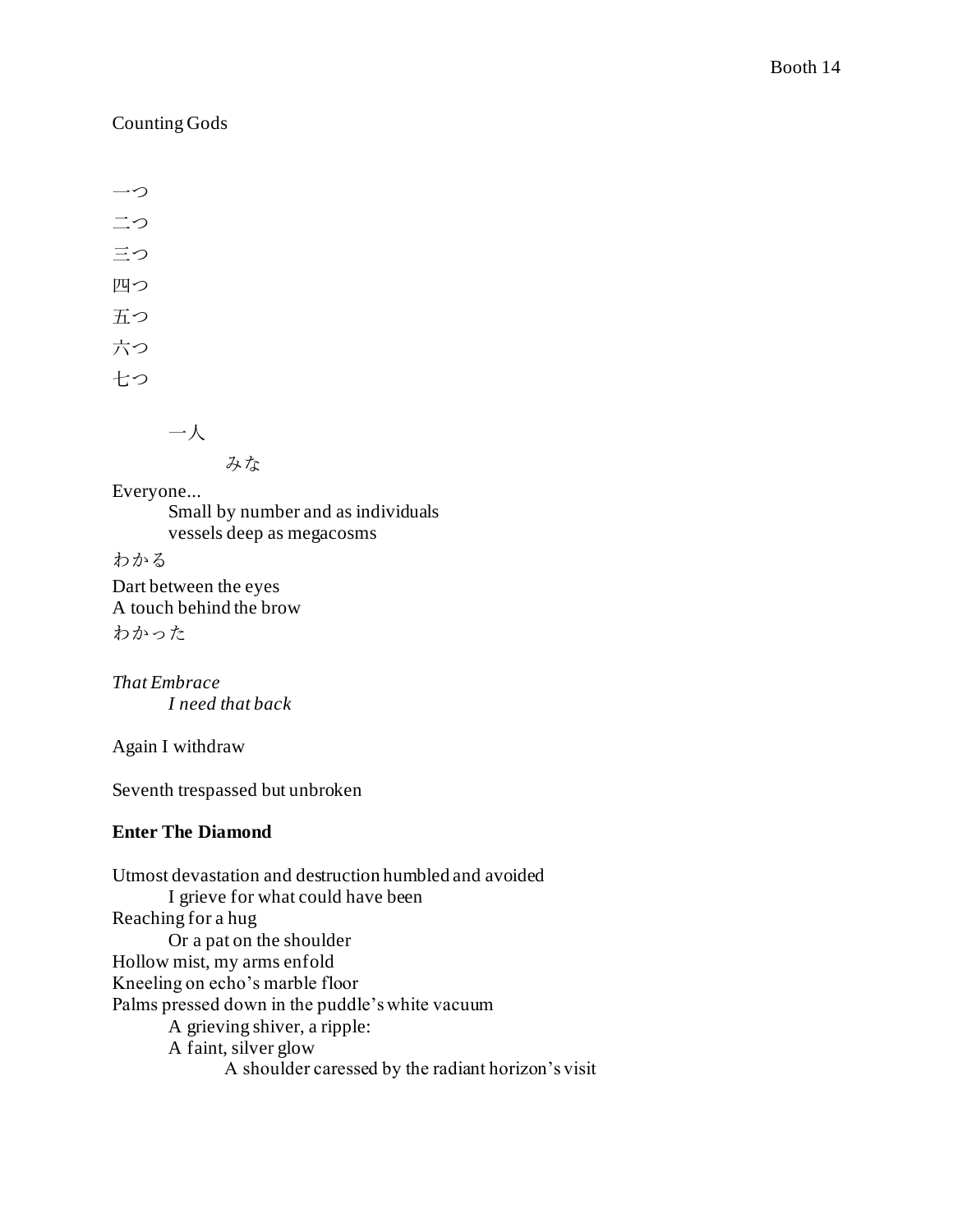## Counting Gods

一つ 二つ 三つ 四つ 五つ 六つ 七つ

一人

みな

Everyone...

Small by number and as individuals vessels deep as megacosms

わかる

Dart between the eyes A touch behind the brow わかった

*That Embrace I need that back* 

Again I withdraw

Seventh trespassed but unbroken

## **Enter The Diamond**

Utmost devastation and destruction humbled and avoided I grieve for what could have been Reaching for a hug Or a pat on the shoulder Hollow mist, my arms enfold Kneeling on echo's marble floor Palms pressed down in the puddle's white vacuum A grieving shiver, a ripple: A faint, silver glow A shoulder caressed by the radiant horizon's visit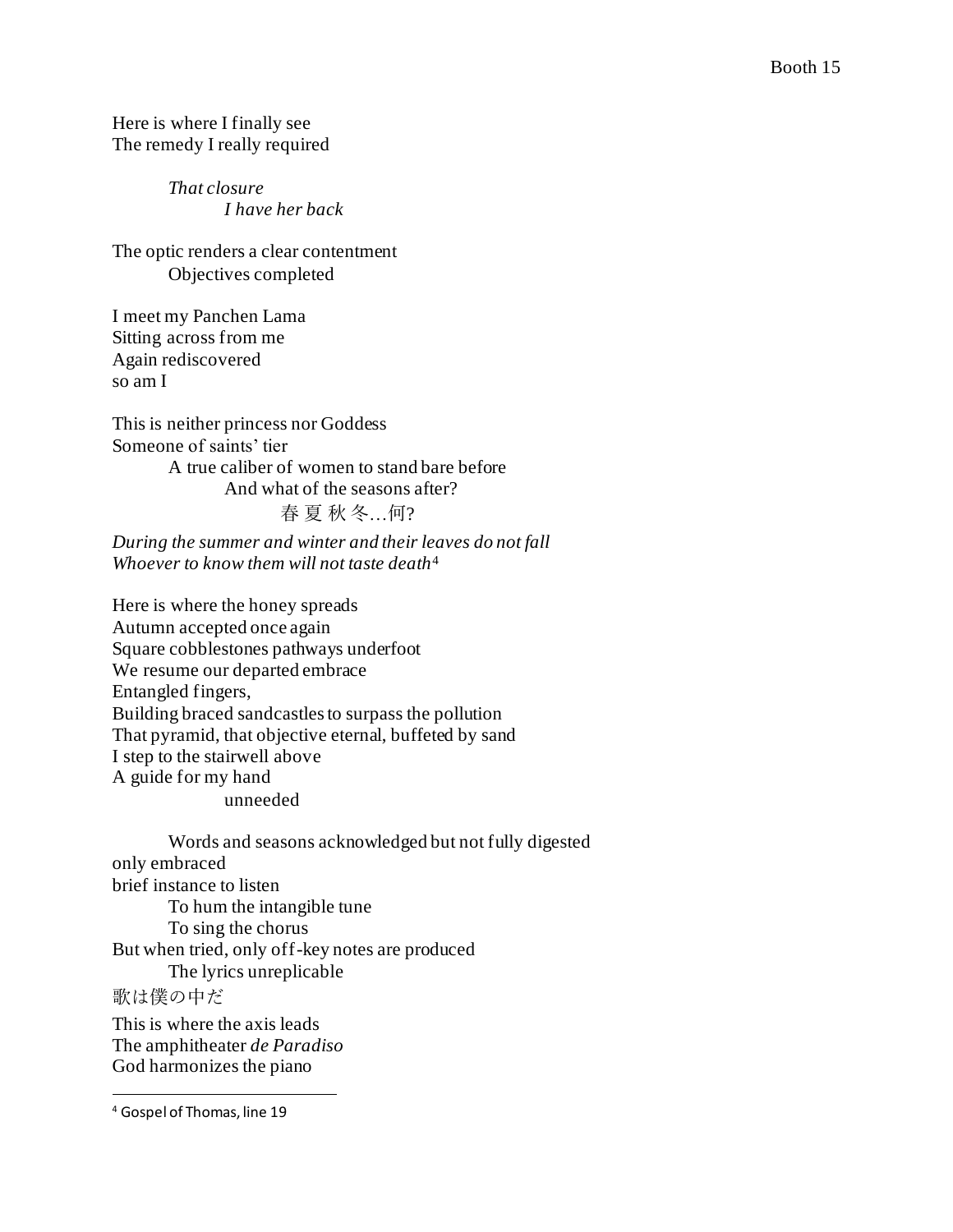Here is where I finally see The remedy I really required

> *That closure I have her back*

The optic renders a clear contentment Objectives completed

I meet my Panchen Lama Sitting across from me Again rediscovered so am I

This is neither princess nor Goddess Someone of saints' tier A true caliber of women to stand bare before And what of the seasons after? 春 夏 秋 冬…何?

*During the summer and winter and their leaves do not fall Whoever to know them will not taste death*<sup>4</sup>

Here is where the honey spreads Autumn accepted once again Square cobblestones pathways underfoot We resume our departed embrace Entangled fingers, Building braced sandcastles to surpass the pollution That pyramid, that objective eternal, buffeted by sand I step to the stairwell above A guide for my hand unneeded

Words and seasons acknowledged but not fully digested only embraced brief instance to listen To hum the intangible tune To sing the chorus But when tried, only off-key notes are produced The lyrics unreplicable 歌は僕の中だ This is where the axis leads The amphitheater *de Paradiso*

God harmonizes the piano

<sup>4</sup> Gospel of Thomas, line 19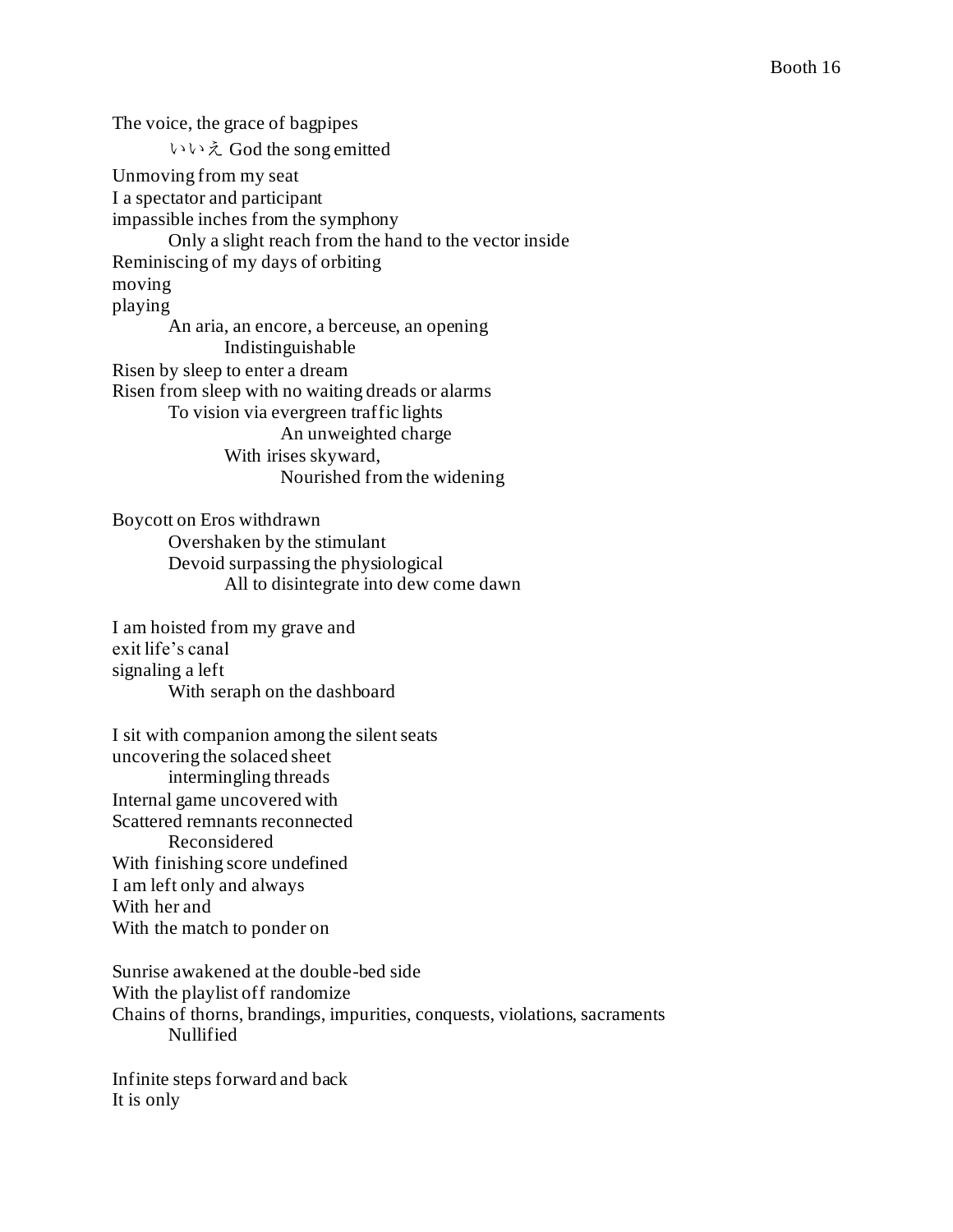The voice, the grace of bagpipes いいえ God the song emitted Unmoving from my seat I a spectator and participant impassible inches from the symphony Only a slight reach from the hand to the vector inside Reminiscing of my days of orbiting moving playing An aria, an encore, a berceuse, an opening Indistinguishable Risen by sleep to enter a dream Risen from sleep with no waiting dreads or alarms To vision via evergreen traffic lights An unweighted charge With irises skyward, Nourished from the widening

Boycott on Eros withdrawn Overshaken by the stimulant Devoid surpassing the physiological All to disintegrate into dew come dawn

I am hoisted from my grave and exit life's canal signaling a left With seraph on the dashboard

I sit with companion among the silent seats uncovering the solaced sheet intermingling threads Internal game uncovered with Scattered remnants reconnected Reconsidered With finishing score undefined I am left only and always With her and With the match to ponder on

Sunrise awakened at the double-bed side With the playlist off randomize Chains of thorns, brandings, impurities, conquests, violations, sacraments Nullified

Infinite steps forward and back It is only